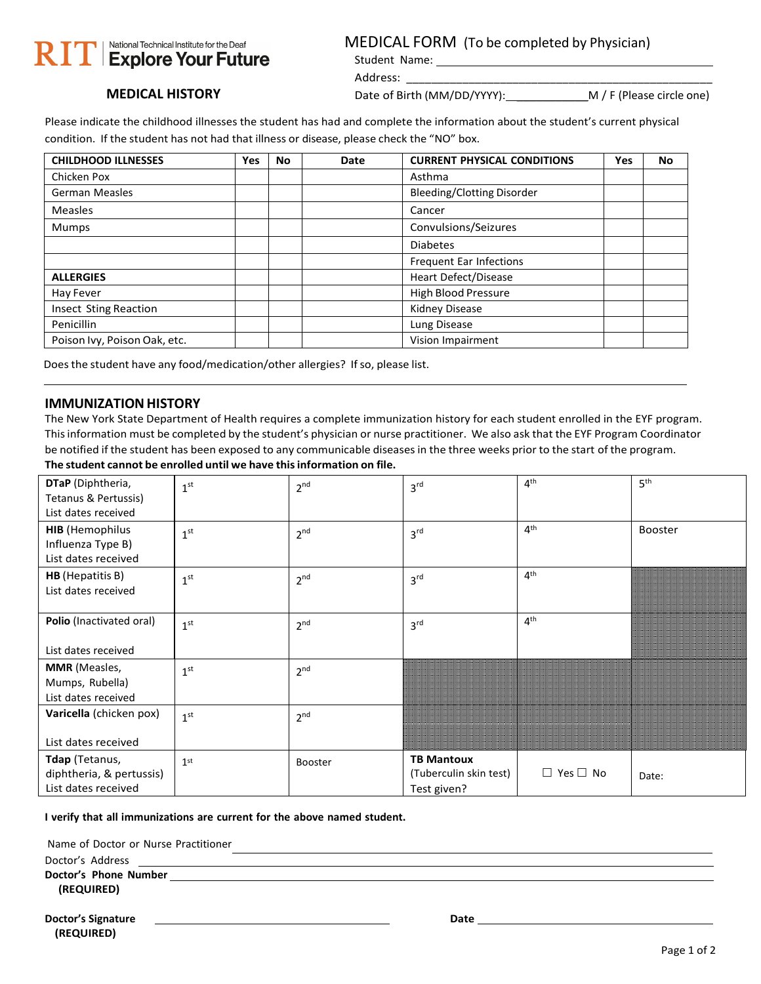# | National Technical Institute for the Deaf RIT Explore Your Future

#### MEDICAL FORM (To be completed by Physician)

Student Name: Address: \_\_\_\_\_\_\_\_\_\_\_\_\_\_\_\_\_\_\_\_\_\_\_\_\_\_\_\_\_\_\_\_\_\_\_\_\_\_\_\_\_\_\_\_\_\_\_\_\_

**MEDICAL HISTORY**

Date of Birth (MM/DD/YYYY): \_\_\_\_\_\_\_\_\_\_\_M / F (Please circle one)

Please indicate the childhood illnesses the student has had and complete the information about the student's current physical condition. If the student has not had that illness or disease, please check the "NO" box.

| <b>CHILDHOOD ILLNESSES</b>   | Yes | <b>No</b> | Date | <b>CURRENT PHYSICAL CONDITIONS</b> | Yes | No |
|------------------------------|-----|-----------|------|------------------------------------|-----|----|
| Chicken Pox                  |     |           |      | Asthma                             |     |    |
| <b>German Measles</b>        |     |           |      | <b>Bleeding/Clotting Disorder</b>  |     |    |
| Measles                      |     |           |      | Cancer                             |     |    |
| <b>Mumps</b>                 |     |           |      | Convulsions/Seizures               |     |    |
|                              |     |           |      | <b>Diabetes</b>                    |     |    |
|                              |     |           |      | Frequent Ear Infections            |     |    |
| <b>ALLERGIES</b>             |     |           |      | Heart Defect/Disease               |     |    |
| Hay Fever                    |     |           |      | <b>High Blood Pressure</b>         |     |    |
| <b>Insect Sting Reaction</b> |     |           |      | Kidney Disease                     |     |    |
| Penicillin                   |     |           |      | Lung Disease                       |     |    |
| Poison Ivy, Poison Oak, etc. |     |           |      | Vision Impairment                  |     |    |

Does the student have any food/medication/other allergies? If so, please list.

#### **IMMUNIZATION HISTORY**

The New York State Department of Health requires a complete immunization history for each student enrolled in the EYF program. Thisinformation must be completed by the student's physician or nurse practitioner. We also ask that the EYF Program Coordinator be notified if the student has been exposed to any communicable diseases in the three weeks prior to the start of the program. **The student cannot be enrolled until we have thisinformation on file.**

| DTaP (Diphtheria,<br>Tetanus & Pertussis)<br>List dates received   | 1 <sup>st</sup> | 2 <sup>nd</sup> | 3 <sup>rd</sup>                                            | 4 <sup>th</sup>      | 5 <sup>th</sup> |
|--------------------------------------------------------------------|-----------------|-----------------|------------------------------------------------------------|----------------------|-----------------|
| <b>HIB</b> (Hemophilus<br>Influenza Type B)<br>List dates received | 1 <sup>st</sup> | 2 <sup>nd</sup> | 3 <sup>rd</sup>                                            | 4 <sup>th</sup>      | <b>Booster</b>  |
| <b>HB</b> (Hepatitis B)<br>List dates received                     | 1 <sup>st</sup> | 2 <sup>nd</sup> | 3 <sup>rd</sup>                                            | 4 <sup>th</sup>      |                 |
| Polio (Inactivated oral)<br>List dates received                    | 1 <sup>st</sup> | 2 <sup>nd</sup> | 3 <sup>rd</sup>                                            | 4 <sup>th</sup>      |                 |
| <b>MMR</b> (Measles,<br>Mumps, Rubella)<br>List dates received     | 1 <sup>st</sup> | 2 <sup>nd</sup> |                                                            |                      |                 |
| Varicella (chicken pox)<br>List dates received                     | 1 <sup>st</sup> | 2 <sup>nd</sup> |                                                            |                      |                 |
| Tdap (Tetanus,<br>diphtheria, & pertussis)<br>List dates received  | 1 <sup>st</sup> | <b>Booster</b>  | <b>TB Mantoux</b><br>(Tuberculin skin test)<br>Test given? | $\Box$ Yes $\Box$ No | Date:           |

**I verify that all immunizations are current for the above named student.**

Name of Doctor or Nurse Practitioner

Doctor's Address \_

**Doctor's Phone Number (REQUIRED)**

| <b>Doctor's Signature</b> | Date |
|---------------------------|------|
| (REQUIRED)                |      |